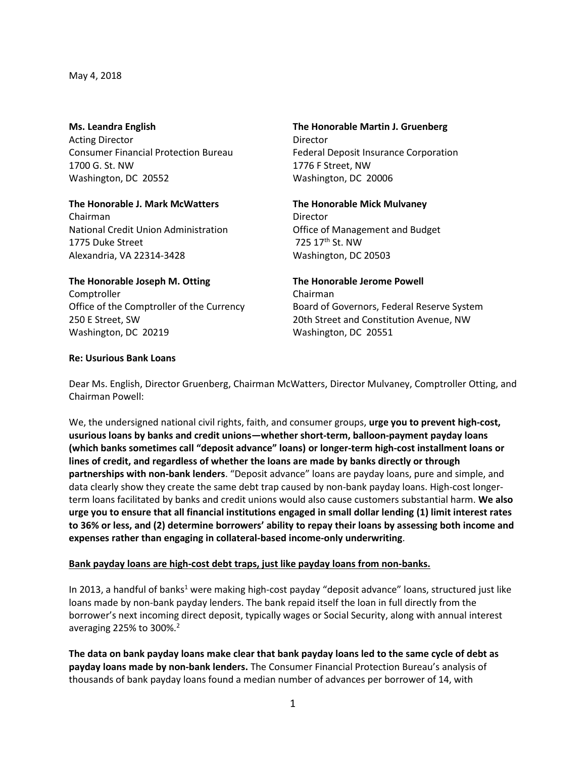May 4, 2018

Acting Director **Director** Director Consumer Financial Protection Bureau Federal Deposit Insurance Corporation 1700 G. St. NW 1776 F Street, NW Washington, DC 20552 Washington, DC 20006

### **The Honorable J. Mark McWatters The Honorable Mick Mulvaney** Chairman Director National Credit Union Administration Office of Management and Budget 1775 Duke Street 725 17th St. NW

Alexandria, VA 22314-3428 Washington, DC 20503

# **Ms. Leandra English The Honorable Martin J. Gruenberg**

### **The Honorable Joseph M. Otting The Honorable Jerome Powell** Comptroller **Comptroller** Chairman Office of the Comptroller of the Currency Board of Governors, Federal Reserve System 250 E Street, SW 20th Street and Constitution Avenue, NW

## **Re: Usurious Bank Loans**

Dear Ms. English, Director Gruenberg, Chairman McWatters, Director Mulvaney, Comptroller Otting, and Chairman Powell:

We, the undersigned national civil rights, faith, and consumer groups, **urge you to prevent high-cost, usurious loans by banks and credit unions—whether short-term, balloon-payment payday loans (which banks sometimes call "deposit advance" loans) or longer-term high-cost installment loans or lines of credit, and regardless of whether the loans are made by banks directly or through partnerships with non-bank lenders**. "Deposit advance" loans are payday loans, pure and simple, and data clearly show they create the same debt trap caused by non-bank payday loans. High-cost longerterm loans facilitated by banks and credit unions would also cause customers substantial harm. **We also urge you to ensure that all financial institutions engaged in small dollar lending (1) limit interest rates to 36% or less, and (2) determine borrowers' ability to repay their loans by assessing both income and expenses rather than engaging in collateral-based income-only underwriting**.

# **Bank payday loans are high-cost debt traps, just like payday loans from non-banks.**

Washington, DC 20219 Washington, DC 20551

In 2013, a handful of banks<sup>1</sup> were making high-cost payday "deposit advance" loans, structured just like loans made by non-bank payday lenders. The bank repaid itself the loan in full directly from the borrower's next incoming direct deposit, typically wages or Social Security, along with annual interest averaging 225% to 300%. $2^2$ 

**The data on bank payday loans make clear that bank payday loans led to the same cycle of debt as payday loans made by non-bank lenders.** The Consumer Financial Protection Bureau's analysis of thousands of bank payday loans found a median number of advances per borrower of 14, with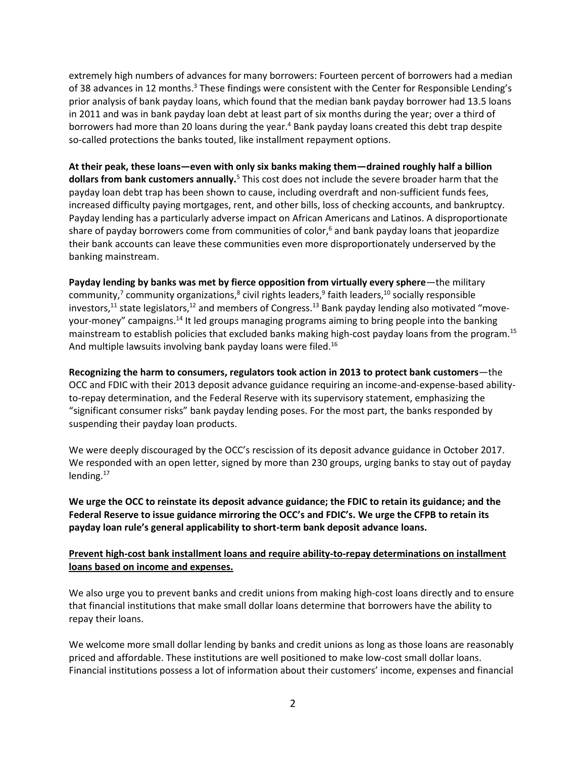extremely high numbers of advances for many borrowers: Fourteen percent of borrowers had a median of 38 advances in 12 months.<sup>3</sup> These findings were consistent with the Center for Responsible Lending's prior analysis of bank payday loans, which found that the median bank payday borrower had 13.5 loans in 2011 and was in bank payday loan debt at least part of six months during the year; over a third of borrowers had more than 20 loans during the year.<sup>4</sup> Bank payday loans created this debt trap despite so-called protections the banks touted, like installment repayment options.

**At their peak, these loans—even with only six banks making them—drained roughly half a billion dollars from bank customers annually.**<sup>5</sup> This cost does not include the severe broader harm that the payday loan debt trap has been shown to cause, including overdraft and non-sufficient funds fees, increased difficulty paying mortgages, rent, and other bills, loss of checking accounts, and bankruptcy. Payday lending has a particularly adverse impact on African Americans and Latinos. A disproportionate share of payday borrowers come from communities of color, <sup>6</sup> and bank payday loans that jeopardize their bank accounts can leave these communities even more disproportionately underserved by the banking mainstream.

Payday lending by banks was met by fierce opposition from virtually every sphere—the military community,<sup>7</sup> community organizations,<sup>8</sup> civil rights leaders,<sup>9</sup> faith leaders,<sup>10</sup> socially responsible investors,<sup>11</sup> state legislators,<sup>12</sup> and members of Congress.<sup>13</sup> Bank payday lending also motivated "moveyour-money" campaigns.<sup>14</sup> It led groups managing programs aiming to bring people into the banking mainstream to establish policies that excluded banks making high-cost payday loans from the program.<sup>15</sup> And multiple lawsuits involving bank payday loans were filed.<sup>16</sup>

**Recognizing the harm to consumers, regulators took action in 2013 to protect bank customers**—the OCC and FDIC with their 2013 deposit advance guidance requiring an income-and-expense-based abilityto-repay determination, and the Federal Reserve with its supervisory statement, emphasizing the "significant consumer risks" bank payday lending poses. For the most part, the banks responded by suspending their payday loan products.

We were deeply discouraged by the OCC's rescission of its deposit advance guidance in October 2017. We responded with an open letter, signed by more than 230 groups, urging banks to stay out of payday lending. $17$ 

**We urge the OCC to reinstate its deposit advance guidance; the FDIC to retain its guidance; and the Federal Reserve to issue guidance mirroring the OCC's and FDIC's. We urge the CFPB to retain its payday loan rule's general applicability to short-term bank deposit advance loans.**

## **Prevent high-cost bank installment loans and require ability-to-repay determinations on installment loans based on income and expenses.**

We also urge you to prevent banks and credit unions from making high-cost loans directly and to ensure that financial institutions that make small dollar loans determine that borrowers have the ability to repay their loans.

We welcome more small dollar lending by banks and credit unions as long as those loans are reasonably priced and affordable. These institutions are well positioned to make low-cost small dollar loans. Financial institutions possess a lot of information about their customers' income, expenses and financial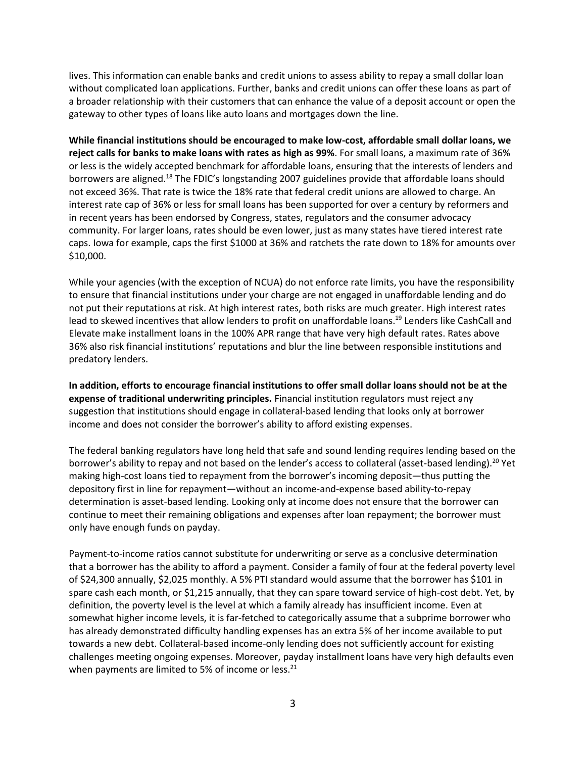lives. This information can enable banks and credit unions to assess ability to repay a small dollar loan without complicated loan applications. Further, banks and credit unions can offer these loans as part of a broader relationship with their customers that can enhance the value of a deposit account or open the gateway to other types of loans like auto loans and mortgages down the line.

**While financial institutions should be encouraged to make low-cost, affordable small dollar loans, we reject calls for banks to make loans with rates as high as 99%**. For small loans, a maximum rate of 36% or less is the widely accepted benchmark for affordable loans, ensuring that the interests of lenders and borrowers are aligned.<sup>18</sup> The FDIC's longstanding 2007 guidelines provide that affordable loans should not exceed 36%. That rate is twice the 18% rate that federal credit unions are allowed to charge. An interest rate cap of 36% or less for small loans has been supported for over a century by reformers and in recent years has been endorsed by Congress, states, regulators and the consumer advocacy community. For larger loans, rates should be even lower, just as many states have tiered interest rate caps. Iowa for example, caps the first \$1000 at 36% and ratchets the rate down to 18% for amounts over \$10,000.

While your agencies (with the exception of NCUA) do not enforce rate limits, you have the responsibility to ensure that financial institutions under your charge are not engaged in unaffordable lending and do not put their reputations at risk. At high interest rates, both risks are much greater. High interest rates lead to skewed incentives that allow lenders to profit on unaffordable loans.<sup>19</sup> Lenders like CashCall and Elevate make installment loans in the 100% APR range that have very high default rates. Rates above 36% also risk financial institutions' reputations and blur the line between responsible institutions and predatory lenders.

**In addition, efforts to encourage financial institutions to offer small dollar loans should not be at the expense of traditional underwriting principles.** Financial institution regulators must reject any suggestion that institutions should engage in collateral-based lending that looks only at borrower income and does not consider the borrower's ability to afford existing expenses.

The federal banking regulators have long held that safe and sound lending requires lending based on the borrower's ability to repay and not based on the lender's access to collateral (asset-based lending).<sup>20</sup> Yet making high-cost loans tied to repayment from the borrower's incoming deposit—thus putting the depository first in line for repayment—without an income-and-expense based ability-to-repay determination is asset-based lending. Looking only at income does not ensure that the borrower can continue to meet their remaining obligations and expenses after loan repayment; the borrower must only have enough funds on payday.

Payment-to-income ratios cannot substitute for underwriting or serve as a conclusive determination that a borrower has the ability to afford a payment. Consider a family of four at the federal poverty level of \$24,300 annually, \$2,025 monthly. A 5% PTI standard would assume that the borrower has \$101 in spare cash each month, or \$1,215 annually, that they can spare toward service of high-cost debt. Yet, by definition, the poverty level is the level at which a family already has insufficient income. Even at somewhat higher income levels, it is far-fetched to categorically assume that a subprime borrower who has already demonstrated difficulty handling expenses has an extra 5% of her income available to put towards a new debt. Collateral-based income-only lending does not sufficiently account for existing challenges meeting ongoing expenses. Moreover, payday installment loans have very high defaults even when payments are limited to 5% of income or less. $^{21}$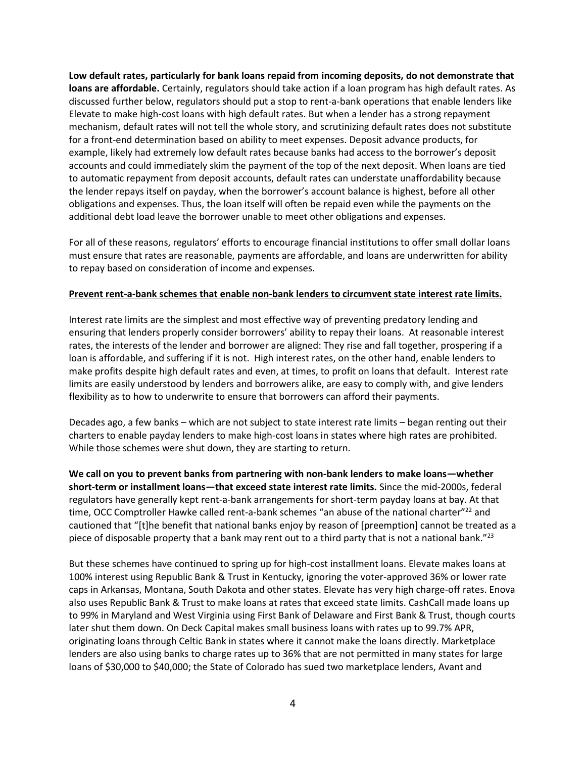**Low default rates, particularly for bank loans repaid from incoming deposits, do not demonstrate that loans are affordable.** Certainly, regulators should take action if a loan program has high default rates. As discussed further below, regulators should put a stop to rent-a-bank operations that enable lenders like Elevate to make high-cost loans with high default rates. But when a lender has a strong repayment mechanism, default rates will not tell the whole story, and scrutinizing default rates does not substitute for a front-end determination based on ability to meet expenses. Deposit advance products, for example, likely had extremely low default rates because banks had access to the borrower's deposit accounts and could immediately skim the payment of the top of the next deposit. When loans are tied to automatic repayment from deposit accounts, default rates can understate unaffordability because the lender repays itself on payday, when the borrower's account balance is highest, before all other obligations and expenses. Thus, the loan itself will often be repaid even while the payments on the additional debt load leave the borrower unable to meet other obligations and expenses.

For all of these reasons, regulators' efforts to encourage financial institutions to offer small dollar loans must ensure that rates are reasonable, payments are affordable, and loans are underwritten for ability to repay based on consideration of income and expenses.

#### **Prevent rent-a-bank schemes that enable non-bank lenders to circumvent state interest rate limits.**

Interest rate limits are the simplest and most effective way of preventing predatory lending and ensuring that lenders properly consider borrowers' ability to repay their loans. At reasonable interest rates, the interests of the lender and borrower are aligned: They rise and fall together, prospering if a loan is affordable, and suffering if it is not. High interest rates, on the other hand, enable lenders to make profits despite high default rates and even, at times, to profit on loans that default. Interest rate limits are easily understood by lenders and borrowers alike, are easy to comply with, and give lenders flexibility as to how to underwrite to ensure that borrowers can afford their payments.

Decades ago, a few banks – which are not subject to state interest rate limits – began renting out their charters to enable payday lenders to make high-cost loans in states where high rates are prohibited. While those schemes were shut down, they are starting to return.

**We call on you to prevent banks from partnering with non-bank lenders to make loans—whether short-term or installment loans—that exceed state interest rate limits.** Since the mid-2000s, federal regulators have generally kept rent-a-bank arrangements for short-term payday loans at bay. At that time, OCC Comptroller Hawke called rent-a-bank schemes "an abuse of the national charter"<sup>22</sup> and cautioned that "[t]he benefit that national banks enjoy by reason of [preemption] cannot be treated as a piece of disposable property that a bank may rent out to a third party that is not a national bank."<sup>23</sup>

But these schemes have continued to spring up for high-cost installment loans. Elevate makes loans at 100% interest using Republic Bank & Trust in Kentucky, ignoring the voter-approved 36% or lower rate caps in Arkansas, Montana, South Dakota and other states. Elevate has very high charge-off rates. Enova also uses Republic Bank & Trust to make loans at rates that exceed state limits. CashCall made loans up to 99% in Maryland and West Virginia using First Bank of Delaware and First Bank & Trust, though courts later shut them down. On Deck Capital makes small business loans with rates up to 99.7% APR, originating loans through Celtic Bank in states where it cannot make the loans directly. Marketplace lenders are also using banks to charge rates up to 36% that are not permitted in many states for large loans of \$30,000 to \$40,000; the State of Colorado has sued two marketplace lenders, Avant and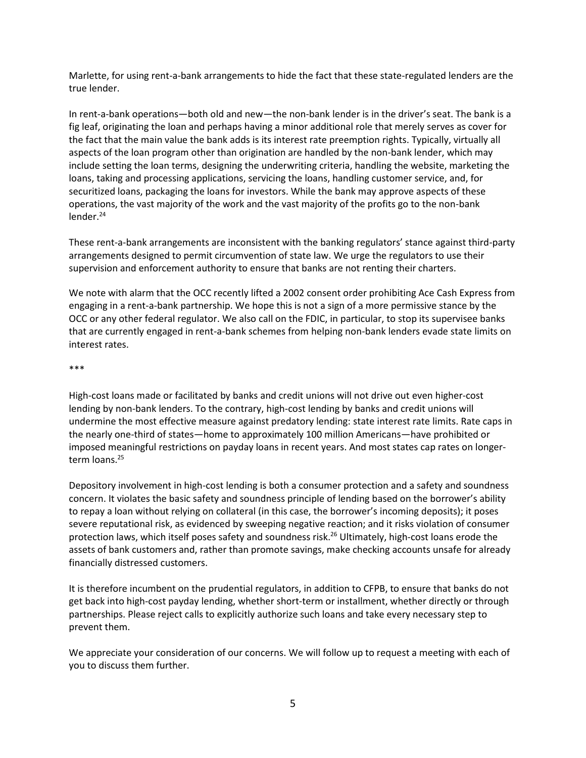Marlette, for using rent-a-bank arrangements to hide the fact that these state-regulated lenders are the true lender.

In rent-a-bank operations—both old and new—the non-bank lender is in the driver's seat. The bank is a fig leaf, originating the loan and perhaps having a minor additional role that merely serves as cover for the fact that the main value the bank adds is its interest rate preemption rights. Typically, virtually all aspects of the loan program other than origination are handled by the non-bank lender, which may include setting the loan terms, designing the underwriting criteria, handling the website, marketing the loans, taking and processing applications, servicing the loans, handling customer service, and, for securitized loans, packaging the loans for investors. While the bank may approve aspects of these operations, the vast majority of the work and the vast majority of the profits go to the non-bank lender.<sup>24</sup>

These rent-a-bank arrangements are inconsistent with the banking regulators' stance against third-party arrangements designed to permit circumvention of state law. We urge the regulators to use their supervision and enforcement authority to ensure that banks are not renting their charters.

We note with alarm that the OCC recently lifted a 2002 consent order prohibiting Ace Cash Express from engaging in a rent-a-bank partnership. We hope this is not a sign of a more permissive stance by the OCC or any other federal regulator. We also call on the FDIC, in particular, to stop its supervisee banks that are currently engaged in rent-a-bank schemes from helping non-bank lenders evade state limits on interest rates.

#### \*\*\*

High-cost loans made or facilitated by banks and credit unions will not drive out even higher-cost lending by non-bank lenders. To the contrary, high-cost lending by banks and credit unions will undermine the most effective measure against predatory lending: state interest rate limits. Rate caps in the nearly one-third of states—home to approximately 100 million Americans—have prohibited or imposed meaningful restrictions on payday loans in recent years. And most states cap rates on longerterm loans.<sup>25</sup>

Depository involvement in high-cost lending is both a consumer protection and a safety and soundness concern. It violates the basic safety and soundness principle of lending based on the borrower's ability to repay a loan without relying on collateral (in this case, the borrower's incoming deposits); it poses severe reputational risk, as evidenced by sweeping negative reaction; and it risks violation of consumer protection laws, which itself poses safety and soundness risk.<sup>26</sup> Ultimately, high-cost loans erode the assets of bank customers and, rather than promote savings, make checking accounts unsafe for already financially distressed customers.

It is therefore incumbent on the prudential regulators, in addition to CFPB, to ensure that banks do not get back into high-cost payday lending, whether short-term or installment, whether directly or through partnerships. Please reject calls to explicitly authorize such loans and take every necessary step to prevent them.

We appreciate your consideration of our concerns. We will follow up to request a meeting with each of you to discuss them further.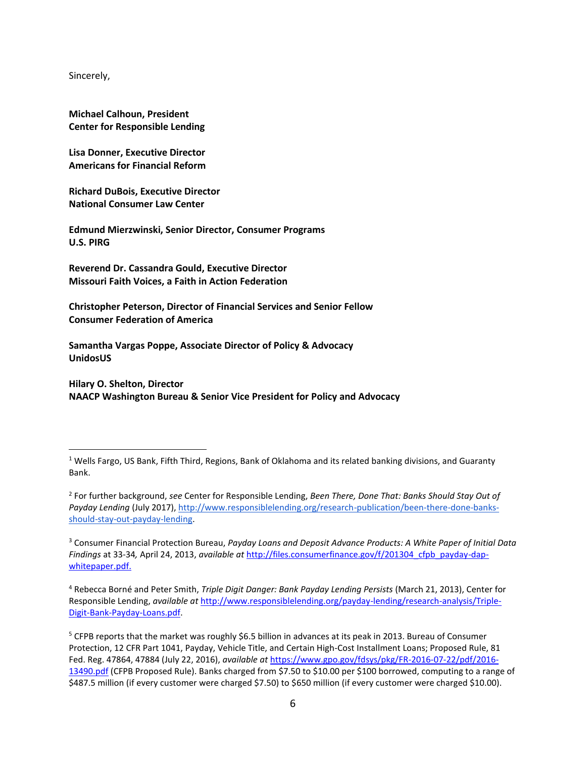Sincerely,

 $\overline{a}$ 

**Michael Calhoun, President Center for Responsible Lending**

**Lisa Donner, Executive Director Americans for Financial Reform**

**Richard DuBois, Executive Director National Consumer Law Center**

**Edmund Mierzwinski, Senior Director, Consumer Programs U.S. PIRG**

**Reverend Dr. Cassandra Gould, Executive Director Missouri Faith Voices, a Faith in Action Federation**

**Christopher Peterson, Director of Financial Services and Senior Fellow Consumer Federation of America**

**Samantha Vargas Poppe, Associate Director of Policy & Advocacy UnidosUS**

**Hilary O. Shelton, Director NAACP Washington Bureau & Senior Vice President for Policy and Advocacy**

<sup>3</sup> Consumer Financial Protection Bureau, *Payday Loans and Deposit Advance Products: A White Paper of Initial Data Findings* at 33-34*,* April 24, 2013, *available at* [http://files.consumerfinance.gov/f/201304\\_cfpb\\_payday-dap](http://files.consumerfinance.gov/f/201304_cfpb_payday-dap-whitepaper.pdf)[whitepaper.pdf.](http://files.consumerfinance.gov/f/201304_cfpb_payday-dap-whitepaper.pdf)

 $1$  Wells Fargo, US Bank, Fifth Third, Regions, Bank of Oklahoma and its related banking divisions, and Guaranty Bank.

<sup>2</sup> For further background, *see* Center for Responsible Lending, *Been There, Done That: Banks Should Stay Out of Payday Lending* (July 2017)[, http://www.responsiblelending.org/research-publication/been-there-done-banks](http://www.responsiblelending.org/research-publication/been-there-done-banks-should-stay-out-payday-lending)[should-stay-out-payday-lending.](http://www.responsiblelending.org/research-publication/been-there-done-banks-should-stay-out-payday-lending)

<sup>4</sup> Rebecca Borné and Peter Smith, *Triple Digit Danger: Bank Payday Lending Persists* (March 21, 2013), Center for Responsible Lending, *available at* [http://www.responsiblelending.org/payday-lending/research-analysis/Triple-](http://www.responsiblelending.org/payday-lending/research-analysis/Triple-Digit-Bank-Payday-Loans.pdf)[Digit-Bank-Payday-Loans.pdf.](http://www.responsiblelending.org/payday-lending/research-analysis/Triple-Digit-Bank-Payday-Loans.pdf)

<sup>&</sup>lt;sup>5</sup> CFPB reports that the market was roughly \$6.5 billion in advances at its peak in 2013. Bureau of Consumer Protection, 12 CFR Part 1041, Payday, Vehicle Title, and Certain High-Cost Installment Loans; Proposed Rule, 81 Fed. Reg. 47864, 47884 (July 22, 2016), *available at* [https://www.gpo.gov/fdsys/pkg/FR-2016-07-22/pdf/2016-](https://www.gpo.gov/fdsys/pkg/FR-2016-07-22/pdf/2016-13490.pdf) [13490.pdf](https://www.gpo.gov/fdsys/pkg/FR-2016-07-22/pdf/2016-13490.pdf) (CFPB Proposed Rule). Banks charged from \$7.50 to \$10.00 per \$100 borrowed, computing to a range of \$487.5 million (if every customer were charged \$7.50) to \$650 million (if every customer were charged \$10.00).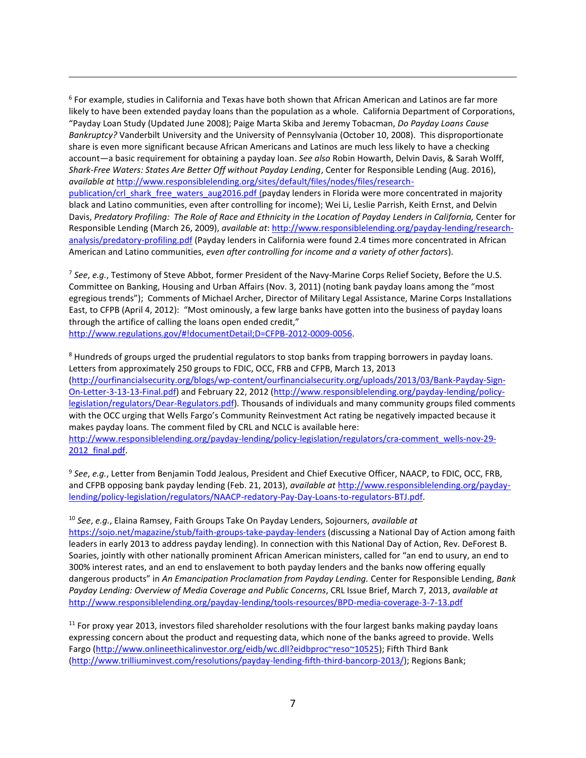6 For example, studies in California and Texas have both shown that African American and Latinos are far more likely to have been extended payday loans than the population as a whole. California Department of Corporations, "Payday Loan Study (Updated June 2008); Paige Marta Skiba and Jeremy Tobacman, *Do Payday Loans Cause Bankruptcy?* Vanderbilt University and the University of Pennsylvania (October 10, 2008). This disproportionate share is even more significant because African Americans and Latinos are much less likely to have a checking account—a basic requirement for obtaining a payday loan. *See also* Robin Howarth, Delvin Davis, & Sarah Wolff, *Shark-Free Waters: States Are Better Off without Payday Lending*, Center for Responsible Lending (Aug. 2016), *available at* [http://www.responsiblelending.org/sites/default/files/nodes/files/research](http://www.responsiblelending.org/sites/default/files/nodes/files/research-publication/crl_shark_free_waters_aug2016.pdf)[publication/crl\\_shark\\_free\\_waters\\_aug2016.pdf](http://www.responsiblelending.org/sites/default/files/nodes/files/research-publication/crl_shark_free_waters_aug2016.pdf) (payday lenders in Florida were more concentrated in majority black and Latino communities, even after controlling for income); Wei Li, Leslie Parrish, Keith Ernst, and Delvin Davis, *Predatory Profiling: The Role of Race and Ethnicity in the Location of Payday Lenders in California,* Center for Responsible Lending (March 26, 2009), *available at*: [http://www.responsiblelending.org/payday-lending/research](http://www.responsiblelending.org/payday-lending/research-analysis/predatory-profiling.pdf)[analysis/predatory-profiling.pdf](http://www.responsiblelending.org/payday-lending/research-analysis/predatory-profiling.pdf) (Payday lenders in California were found 2.4 times more concentrated in African American and Latino communities, *even after controlling for income and a variety of other factors*).

 $\overline{a}$ 

7 *See*, *e.g.*, Testimony of Steve Abbot, former President of the Navy-Marine Corps Relief Society, Before the U.S. Committee on Banking, Housing and Urban Affairs (Nov. 3, 2011) (noting bank payday loans among the "most egregious trends"); Comments of Michael Archer, Director of Military Legal Assistance, Marine Corps Installations East, to CFPB (April 4, 2012): "Most ominously, a few large banks have gotten into the business of payday loans through the artifice of calling the loans open ended credit," [http://www.regulations.gov/#!documentDetail;D=CFPB-2012-0009-0056.](http://www.regulations.gov/#!documentDetail;D=CFPB-2012-0009-0056)

<sup>8</sup> Hundreds of groups urged the prudential regulators to stop banks from trapping borrowers in payday loans. Letters from approximately 250 groups to FDIC, OCC, FRB and CFPB, March 13, 2013 [\(http://ourfinancialsecurity.org/blogs/wp-content/ourfinancialsecurity.org/uploads/2013/03/Bank-Payday-Sign-](http://ourfinancialsecurity.org/blogs/wp-content/ourfinancialsecurity.org/uploads/2013/03/Bank-Payday-Sign-On-Letter-3-13-13-Final.pdf)[On-Letter-3-13-13-Final.pdf\)](http://ourfinancialsecurity.org/blogs/wp-content/ourfinancialsecurity.org/uploads/2013/03/Bank-Payday-Sign-On-Letter-3-13-13-Final.pdf) and February 22, 2012 [\(http://www.responsiblelending.org/payday-lending/policy](http://www.responsiblelending.org/payday-lending/policy-legislation/regulators/Dear-Regulators.pdf)[legislation/regulators/Dear-Regulators.pdf\)](http://www.responsiblelending.org/payday-lending/policy-legislation/regulators/Dear-Regulators.pdf). Thousands of individuals and many community groups filed comments with the OCC urging that Wells Fargo's Community Reinvestment Act rating be negatively impacted because it makes payday loans. The comment filed by CRL and NCLC is available here: [http://www.responsiblelending.org/payday-lending/policy-legislation/regulators/cra-comment\\_wells-nov-29-](http://www.responsiblelending.org/payday-lending/policy-legislation/regulators/cra-comment_wells-nov-29-2012_final.pdf) 2012 final.pdf.

9 *See*, *e.g.*, Letter from Benjamin Todd Jealous, President and Chief Executive Officer, NAACP, to FDIC, OCC, FRB, and CFPB opposing bank payday lending (Feb. 21, 2013), *available at* [http://www.responsiblelending.org/payday](http://www.responsiblelending.org/payday-lending/policy-legislation/regulators/NAACP-redatory-Pay-Day-Loans-to-regulators-BTJ.pdf)[lending/policy-legislation/regulators/NAACP-redatory-Pay-Day-Loans-to-regulators-BTJ.pdf.](http://www.responsiblelending.org/payday-lending/policy-legislation/regulators/NAACP-redatory-Pay-Day-Loans-to-regulators-BTJ.pdf)

<sup>10</sup> *See*, *e.g.*, Elaina Ramsey, Faith Groups Take On Payday Lenders, Sojourners, *available at* <https://sojo.net/magazine/stub/faith-groups-take-payday-lenders> (discussing a National Day of Action among faith leaders in early 2013 to address payday lending). In connection with this National Day of Action, Rev. DeForest B. Soaries, jointly with other nationally prominent African American ministers, called for "an end to usury, an end to 300% interest rates, and an end to enslavement to both payday lenders and the banks now offering equally dangerous products" in *An Emancipation Proclamation from Payday Lending.* Center for Responsible Lending, *Bank Payday Lending: Overview of Media Coverage and Public Concerns*, CRL Issue Brief, March 7, 2013, *available at* <http://www.responsiblelending.org/payday-lending/tools-resources/BPD-media-coverage-3-7-13.pdf>

<sup>11</sup> For proxy year 2013, investors filed shareholder resolutions with the four largest banks making payday loans expressing concern about the product and requesting data, which none of the banks agreed to provide. Wells Fargo [\(http://www.onlineethicalinvestor.org/eidb/wc.dll?eidbproc~reso~10525\)](http://www.onlineethicalinvestor.org/eidb/wc.dll?eidbproc~reso~10525); Fifth Third Bank [\(http://www.trilliuminvest.com/resolutions/payday-lending-fifth-third-bancorp-2013/\)](http://www.trilliuminvest.com/resolutions/payday-lending-fifth-third-bancorp-2013/); Regions Bank;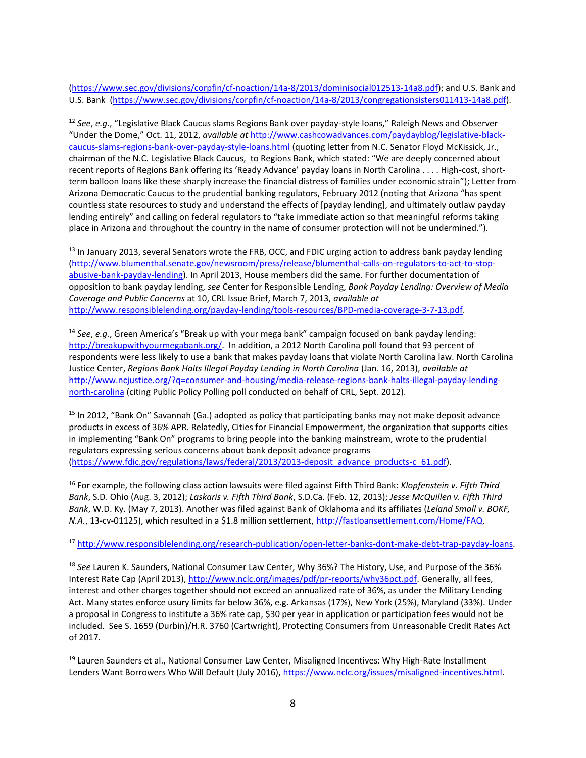[\(https://www.sec.gov/divisions/corpfin/cf-noaction/14a-8/2013/dominisocial012513-14a8.pdf\)](https://www.sec.gov/divisions/corpfin/cf-noaction/14a-8/2013/dominisocial012513-14a8.pdf); and U.S. Bank and U.S. Bank [\(https://www.sec.gov/divisions/corpfin/cf-noaction/14a-8/2013/congregationsisters011413-14a8.pdf\)](https://www.sec.gov/divisions/corpfin/cf-noaction/14a-8/2013/congregationsisters011413-14a8.pdf).

 $\overline{a}$ 

<sup>12</sup> *See*, *e.g.*, "Legislative Black Caucus slams Regions Bank over payday-style loans," Raleigh News and Observer "Under the Dome," Oct. 11, 2012, *available at* [http://www.cashcowadvances.com/paydayblog/legislative-black](http://www.cashcowadvances.com/paydayblog/legislative-black-caucus-slams-regions-bank-over-payday-style-loans.html)[caucus-slams-regions-bank-over-payday-style-loans.html](http://www.cashcowadvances.com/paydayblog/legislative-black-caucus-slams-regions-bank-over-payday-style-loans.html) (quoting letter from N.C. Senator Floyd McKissick, Jr., chairman of the N.C. Legislative Black Caucus, to Regions Bank, which stated: "We are deeply concerned about recent reports of Regions Bank offering its 'Ready Advance' payday loans in North Carolina . . . . High-cost, shortterm balloon loans like these sharply increase the financial distress of families under economic strain"); Letter from Arizona Democratic Caucus to the prudential banking regulators, February 2012 (noting that Arizona "has spent countless state resources to study and understand the effects of [payday lending], and ultimately outlaw payday lending entirely" and calling on federal regulators to "take immediate action so that meaningful reforms taking place in Arizona and throughout the country in the name of consumer protection will not be undermined.").

<sup>13</sup> In January 2013, several Senators wrote the FRB, OCC, and FDIC urging action to address bank payday lending [\(http://www.blumenthal.senate.gov/newsroom/press/release/blumenthal-calls-on-regulators-to-act-to-stop](http://www.blumenthal.senate.gov/newsroom/press/release/blumenthal-calls-on-regulators-to-act-to-stop-abusive-bank-payday-lending)[abusive-bank-payday-lending\)](http://www.blumenthal.senate.gov/newsroom/press/release/blumenthal-calls-on-regulators-to-act-to-stop-abusive-bank-payday-lending). In April 2013, House members did the same. For further documentation of opposition to bank payday lending, *see* Center for Responsible Lending, *Bank Payday Lending: Overview of Media Coverage and Public Concerns* at 10, CRL Issue Brief, March 7, 2013, *available at* [http://www.responsiblelending.org/payday-lending/tools-resources/BPD-media-coverage-3-7-13.pdf.](http://www.responsiblelending.org/payday-lending/tools-resources/BPD-media-coverage-3-7-13.pdf)

<sup>14</sup> *See*, *e.g.*, Green America's "Break up with your mega bank" campaign focused on bank payday lending: [http://breakupwithyourmegabank.org/.](http://breakupwithyourmegabank.org/) In addition, a 2012 North Carolina poll found that 93 percent of respondents were less likely to use a bank that makes payday loans that violate North Carolina law. North Carolina Justice Center, *Regions Bank Halts Illegal Payday Lending in North Carolina* (Jan. 16, 2013), *available at* [http://www.ncjustice.org/?q=consumer-and-housing/media-release-regions-bank-halts-illegal-payday-lending](http://www.ncjustice.org/?q=consumer-and-housing/media-release-regions-bank-halts-illegal-payday-lending-north-carolina)[north-carolina](http://www.ncjustice.org/?q=consumer-and-housing/media-release-regions-bank-halts-illegal-payday-lending-north-carolina) (citing Public Policy Polling poll conducted on behalf of CRL, Sept. 2012).

<sup>15</sup> In 2012, "Bank On" Savannah (Ga.) adopted as policy that participating banks may not make deposit advance products in excess of 36% APR. Relatedly, Cities for Financial Empowerment, the organization that supports cities in implementing "Bank On" programs to bring people into the banking mainstream, wrote to the prudential regulators expressing serious concerns about bank deposit advance programs [\(https://www.fdic.gov/regulations/laws/federal/2013/2013-deposit\\_advance\\_products-c\\_61.pdf\)](https://www.fdic.gov/regulations/laws/federal/2013/2013-deposit_advance_products-c_61.pdf).

<sup>16</sup> For example, the following class action lawsuits were filed against Fifth Third Bank: *Klopfenstein v. Fifth Third Bank*, S.D. Ohio (Aug. 3, 2012); *Laskaris v. Fifth Third Bank*, S.D.Ca. (Feb. 12, 2013); *Jesse McQuillen v. Fifth Third Bank*, W.D. Ky. (May 7, 2013). Another was filed against Bank of Oklahoma and its affiliates (*Leland Small v. BOKF, N.A.*, 13-cv-01125), which resulted in a \$1.8 million settlement, [http://fastloansettlement.com/Home/FAQ.](http://fastloansettlement.com/Home/FAQ)

<sup>17</sup> [http://www.responsiblelending.org/research-publication/open-letter-banks-dont-make-debt-trap-payday-loans.](http://www.responsiblelending.org/research-publication/open-letter-banks-dont-make-debt-trap-payday-loans)

<sup>18</sup> *See* Lauren K. Saunders, National Consumer Law Center, Why 36%? The History, Use, and Purpose of the 36% Interest Rate Cap (April 2013), [http://www.nclc.org/images/pdf/pr-reports/why36pct.pdf.](http://www.nclc.org/images/pdf/pr-reports/why36pct.pdf) Generally, all fees, interest and other charges together should not exceed an annualized rate of 36%, as under the Military Lending Act. Many states enforce usury limits far below 36%, e.g. Arkansas (17%), New York (25%), Maryland (33%). Under a proposal in Congress to institute a 36% rate cap, \$30 per year in application or participation fees would not be included. See S. 1659 (Durbin)/H.R. 3760 (Cartwright), Protecting Consumers from Unreasonable Credit Rates Act of 2017.

<sup>19</sup> Lauren Saunders et al., National Consumer Law Center, Misaligned Incentives: Why High-Rate Installment Lenders Want Borrowers Who Will Default (July 2016), [https://www.nclc.org/issues/misaligned-incentives.html.](https://www.nclc.org/issues/misaligned-incentives.html)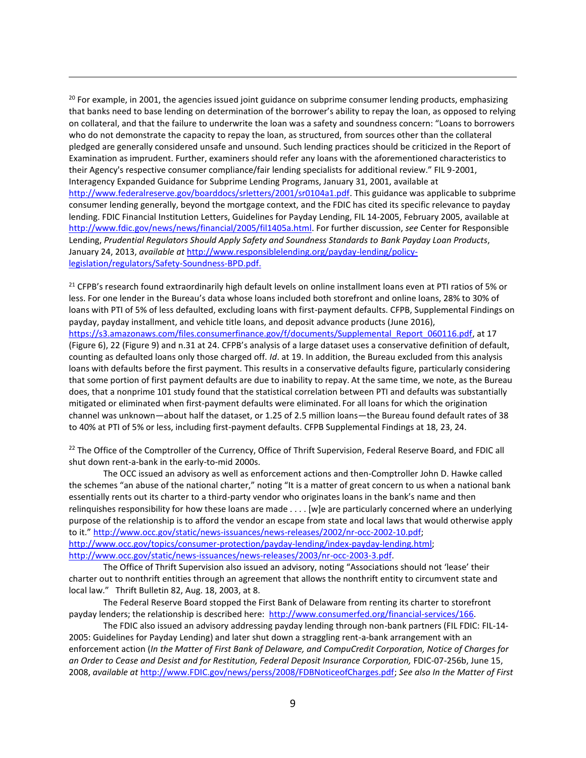<sup>20</sup> For example, in 2001, the agencies issued joint guidance on subprime consumer lending products, emphasizing that banks need to base lending on determination of the borrower's ability to repay the loan, as opposed to relying on collateral, and that the failure to underwrite the loan was a safety and soundness concern: "Loans to borrowers who do not demonstrate the capacity to repay the loan, as structured, from sources other than the collateral pledged are generally considered unsafe and unsound. Such lending practices should be criticized in the Report of Examination as imprudent. Further, examiners should refer any loans with the aforementioned characteristics to their Agency's respective consumer compliance/fair lending specialists for additional review." FIL 9-2001, Interagency Expanded Guidance for Subprime Lending Programs, January 31, 2001, available at [http://www.federalreserve.gov/boarddocs/srletters/2001/sr0104a1.pdf.](http://www.federalreserve.gov/boarddocs/srletters/2001/sr0104a1.pdf) This guidance was applicable to subprime consumer lending generally, beyond the mortgage context, and the FDIC has cited its specific relevance to payday lending. FDIC Financial Institution Letters, Guidelines for Payday Lending, FIL 14-2005, February 2005, available at [http://www.fdic.gov/news/news/financial/2005/fil1405a.html.](http://www.fdic.gov/news/news/financial/2005/fil1405a.html) For further discussion, *see* Center for Responsible Lending, *Prudential Regulators Should Apply Safety and Soundness Standards to Bank Payday Loan Products*, January 24, 2013, *available at* [http://www.responsiblelending.org/payday-lending/policy](http://www.responsiblelending.org/payday-lending/policy-legislation/regulators/Safety-Soundness-BPD.pdf)[legislation/regulators/Safety-Soundness-BPD.pdf.](http://www.responsiblelending.org/payday-lending/policy-legislation/regulators/Safety-Soundness-BPD.pdf)

 $\overline{a}$ 

<sup>21</sup> CFPB's research found extraordinarily high default levels on online installment loans even at PTI ratios of 5% or less. For one lender in the Bureau's data whose loans included both storefront and online loans, 28% to 30% of loans with PTI of 5% of less defaulted, excluding loans with first-payment defaults. CFPB, Supplemental Findings on payday, payday installment, and vehicle title loans, and deposit advance products (June 2016), [https://s3.amazonaws.com/files.consumerfinance.gov/f/documents/Supplemental\\_Report\\_060116.pdf,](https://s3.amazonaws.com/files.consumerfinance.gov/f/documents/Supplemental_Report_060116.pdf) at 17 (Figure 6), 22 (Figure 9) and n.31 at 24. CFPB's analysis of a large dataset uses a conservative definition of default, counting as defaulted loans only those charged off. *Id*. at 19. In addition, the Bureau excluded from this analysis loans with defaults before the first payment. This results in a conservative defaults figure, particularly considering that some portion of first payment defaults are due to inability to repay. At the same time, we note, as the Bureau does, that a nonprime 101 study found that the statistical correlation between PTI and defaults was substantially mitigated or eliminated when first-payment defaults were eliminated. For all loans for which the origination channel was unknown—about half the dataset, or 1.25 of 2.5 million loans—the Bureau found default rates of 38 to 40% at PTI of 5% or less, including first-payment defaults. CFPB Supplemental Findings at 18, 23, 24.

<sup>22</sup> The Office of the Comptroller of the Currency, Office of Thrift Supervision, Federal Reserve Board, and FDIC all shut down rent-a-bank in the early-to-mid 2000s.

The OCC issued an advisory as well as enforcement actions and then-Comptroller John D. Hawke called the schemes "an abuse of the national charter," noting "It is a matter of great concern to us when a national bank essentially rents out its charter to a third-party vendor who originates loans in the bank's name and then relinquishes responsibility for how these loans are made . . . . [w]e are particularly concerned where an underlying purpose of the relationship is to afford the vendor an escape from state and local laws that would otherwise apply to it." [http://www.occ.gov/static/news-issuances/news-releases/2002/nr-occ-2002-10.pdf;](http://www.occ.gov/static/news-issuances/news-releases/2002/nr-occ-2002-10.pdf) [http://www.occ.gov/topics/consumer-protection/payday-lending/index-payday-lending.html;](http://www.occ.gov/topics/consumer-protection/payday-lending/index-payday-lending.html) [http://www.occ.gov/static/news-issuances/news-releases/2003/nr-occ-2003-3.pdf.](http://www.occ.gov/static/news-issuances/news-releases/2003/nr-occ-2003-3.pdf) 

The Office of Thrift Supervision also issued an advisory, noting "Associations should not 'lease' their charter out to nonthrift entities through an agreement that allows the nonthrift entity to circumvent state and local law." Thrift Bulletin 82, Aug. 18, 2003, at 8.

The Federal Reserve Board stopped the First Bank of Delaware from renting its charter to storefront payday lenders; the relationship is described here: [http://www.consumerfed.org/financial-services/166.](http://www.consumerfed.org/financial-services/166)

The FDIC also issued an advisory addressing payday lending through non-bank partners (FIL [FDIC: FIL-14-](https://www.fdic.gov/news/news/financial/2005/fil1405a.html) [2005: Guidelines for Payday Lending\)](https://www.fdic.gov/news/news/financial/2005/fil1405a.html) and later shut down a straggling rent-a-bank arrangement with an enforcement action (*In the Matter of First Bank of Delaware, and CompuCredit Corporation, Notice of Charges for an Order to Cease and Desist and for Restitution, Federal Deposit Insurance Corporation,* FDIC-07-256b, June 15, 2008, *available at* [http://www.FDIC.gov/news/perss/2008/FDBNoticeofCharges.pdf;](http://www.fdic.gov/news/perss/2008/FDBNoticeofCharges.pdf) *See also In the Matter of First*